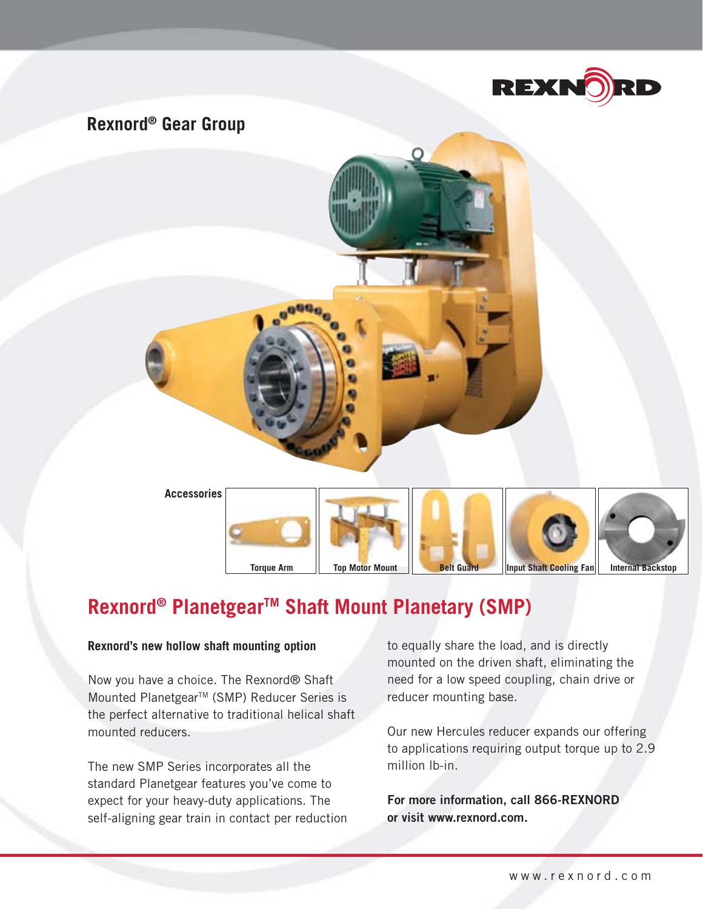

## **Rexnord® Gear Group**



# Rexnord<sup>®</sup> Planetgear<sup>™</sup> Shaft Mount Planetary (SMP)

### **Rexnord's new hollow shaft mounting option**

Now you have a choice. The Rexnord® Shaft Mounted Planetgear<sup>™</sup> (SMP) Reducer Series is the perfect alternative to traditional helical shaft mounted reducers.

The new SMP Series incorporates all the standard Planetgear features you've come to expect for your heavy-duty applications. The self-aligning gear train in contact per reduction to equally share the load, and is directly mounted on the driven shaft, eliminating the need for a low speed coupling, chain drive or reducer mounting base.

Our new Hercules reducer expands our offering to applications requiring output torque up to 2.9 million lb-in.

**For more information, call 866-REXNORD or visit www.rexnord.com.**